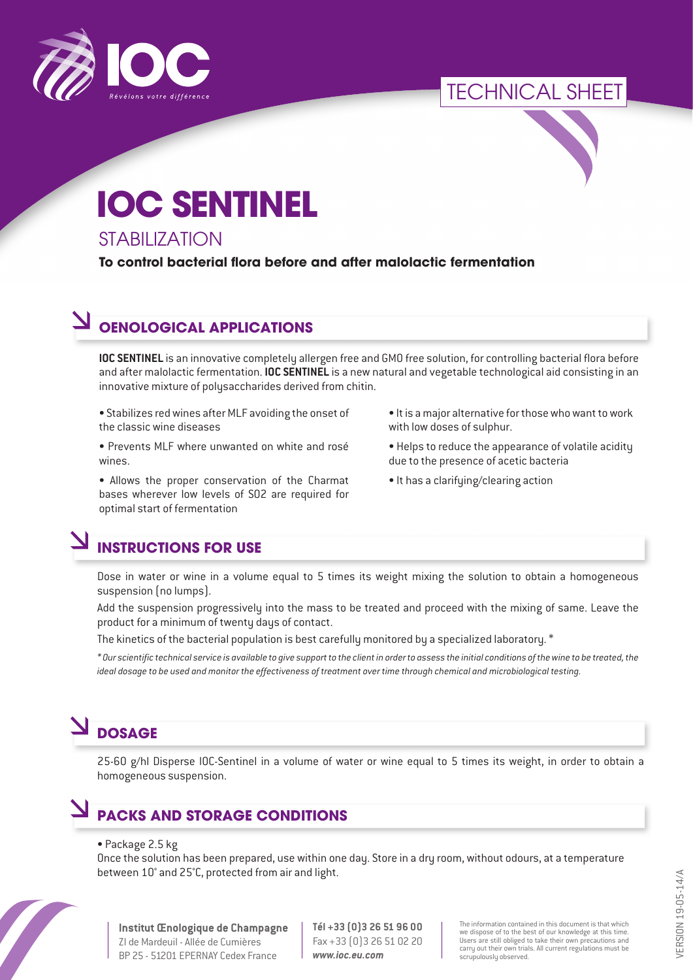

# TECHNICAL SHEET

# **IOC SENTINEL**

#### **STABILIZATION**

**To control bacterial flora before and after malolactic fermentation**

## **OENOLOGICAL APPLICATIONS**

**IOC SENTINEL** is an innovative completely allergen free and GMO free solution, for controlling bacterial flora before and after malolactic fermentation. **IOC SENTINEL** is a new natural and vegetable technological aid consisting in an innovative mixture of polysaccharides derived from chitin.

• Stabilizes red wines after MLF avoiding the onset of the classic wine diseases

- Prevents MLF where unwanted on white and rosé wines.
- Allows the proper conservation of the Charmat bases wherever low levels of SO2 are required for optimal start of fermentation
- It is a major alternative for those who want to work with low doses of sulphur.
- Helps to reduce the appearance of volatile acidity due to the presence of acetic bacteria
- It has a clarifying/clearing action

# **INSTRUCTIONS FOR USE**

Dose in water or wine in a volume equal to 5 times its weight mixing the solution to obtain a homogeneous suspension (no lumps).

Add the suspension progressively into the mass to be treated and proceed with the mixing of same. Leave the product for a minimum of twenty days of contact.

The kinetics of the bacterial population is best carefully monitored by a specialized laboratory. \*

*\* Our scientific technical service is available to give support to the client in order to assess the initial conditions of the wine to be treated, the ideal dosage to be used and monitor the effectiveness of treatment over time through chemical and microbiological testing.*

# **DOSAGE**

25-60 g/hl Disperse IOC-Sentinel in a volume of water or wine equal to 5 times its weight, in order to obtain a homogeneous suspension.

### **PACKS AND STORAGE CONDITIONS**

#### • Package 2.5 kg

Once the solution has been prepared, use within one day. Store in a dry room, without odours, at a temperature between 10° and 25°C, protected from air and light.



**Institut Œnologique de Champagne** ZI de Mardeuil - Allée de Cumières BP 25 - 51201 EPERNAY Cedex France

**Tél +33 (0)3 26 51 96 00** Fax +33 (0)3 26 51 02 20 *www.ioc.eu.com*

The information contained in this document is that which we dispose of to the best of our knowledge at this time. Users are still obliged to take their own precautions and carry out their own trials. All current regulations must be scrupulously observed.